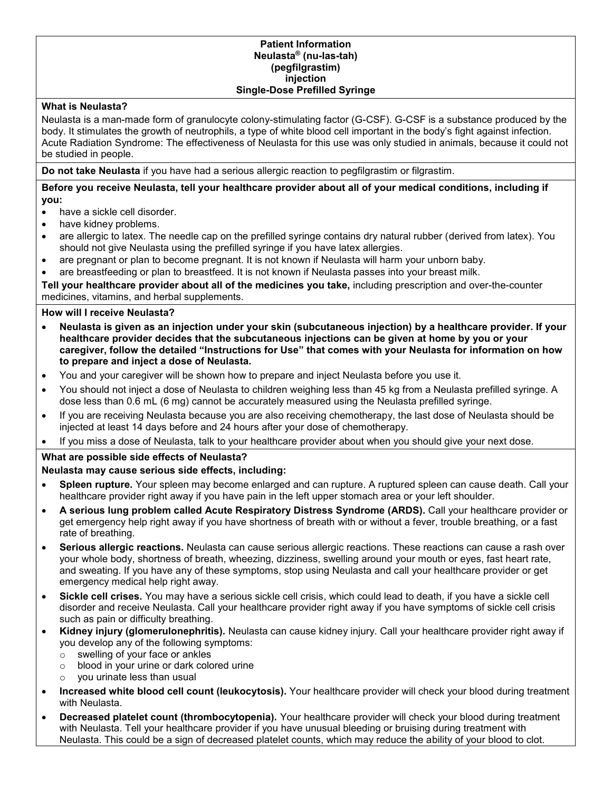#### **Patient Information Neulasta® (nu-las-tah) (pegfilgrastim) injection Single-Dose Prefilled Syringe**

## **What is Neulasta?**

Neulasta is a man-made form of granulocyte colony-stimulating factor (G-CSF). G-CSF is a substance produced by the body. It stimulates the growth of neutrophils, a type of white blood cell important in the body's fight against infection. Acute Radiation Syndrome: The effectiveness of Neulasta for this use was only studied in animals, because it could not be studied in people.

**Do not take Neulasta** if you have had a serious allergic reaction to pegfilgrastim or filgrastim.

## **Before you receive Neulasta, tell your healthcare provider about all of your medical conditions, including if you:**

- have a sickle cell disorder.
- have kidney problems.
- are allergic to latex. The needle cap on the prefilled syringe contains dry natural rubber (derived from latex). You should not give Neulasta using the prefilled syringe if you have latex allergies.
- are pregnant or plan to become pregnant. It is not known if Neulasta will harm your unborn baby.
- are breastfeeding or plan to breastfeed. It is not known if Neulasta passes into your breast milk.

**Tell your healthcare provider about all of the medicines you take,** including prescription and over-the-counter medicines, vitamins, and herbal supplements.

# **How will I receive Neulasta?**

- **Neulasta is given as an injection under your skin (subcutaneous injection) by a healthcare provider. If your healthcare provider decides that the subcutaneous injections can be given at home by you or your caregiver, follow the detailed "Instructions for Use" that comes with your Neulasta for information on how to prepare and inject a dose of Neulasta.**
- You and your caregiver will be shown how to prepare and inject Neulasta before you use it.
- You should not inject a dose of Neulasta to children weighing less than 45 kg from a Neulasta prefilled syringe. A dose less than 0.6 mL (6 mg) cannot be accurately measured using the Neulasta prefilled syringe.
- If you are receiving Neulasta because you are also receiving chemotherapy, the last dose of Neulasta should be injected at least 14 days before and 24 hours after your dose of chemotherapy.
- If you miss a dose of Neulasta, talk to your healthcare provider about when you should give your next dose.

## **What are possible side effects of Neulasta?**

## **Neulasta may cause serious side effects, including:**

- **Spleen rupture.** Your spleen may become enlarged and can rupture. A ruptured spleen can cause death. Call your healthcare provider right away if you have pain in the left upper stomach area or your left shoulder.
- **A serious lung problem called Acute Respiratory Distress Syndrome (ARDS).** Call your healthcare provider or get emergency help right away if you have shortness of breath with or without a fever, trouble breathing, or a fast rate of breathing.
- **Serious allergic reactions.** Neulasta can cause serious allergic reactions. These reactions can cause a rash over your whole body, shortness of breath, wheezing, dizziness, swelling around your mouth or eyes, fast heart rate, and sweating. If you have any of these symptoms, stop using Neulasta and call your healthcare provider or get emergency medical help right away.
- **Sickle cell crises.** You may have a serious sickle cell crisis, which could lead to death, if you have a sickle cell disorder and receive Neulasta. Call your healthcare provider right away if you have symptoms of sickle cell crisis such as pain or difficulty breathing.
- **Kidney injury (glomerulonephritis).** Neulasta can cause kidney injury. Call your healthcare provider right away if you develop any of the following symptoms:
	- o swelling of your face or ankles
	- o blood in your urine or dark colored urine
	- o you urinate less than usual
- **Increased white blood cell count (leukocytosis).** Your healthcare provider will check your blood during treatment with Neulasta.
- **Decreased platelet count (thrombocytopenia).** Your healthcare provider will check your blood during treatment with Neulasta. Tell your healthcare provider if you have unusual bleeding or bruising during treatment with Neulasta. This could be a sign of decreased platelet counts, which may reduce the ability of your blood to clot.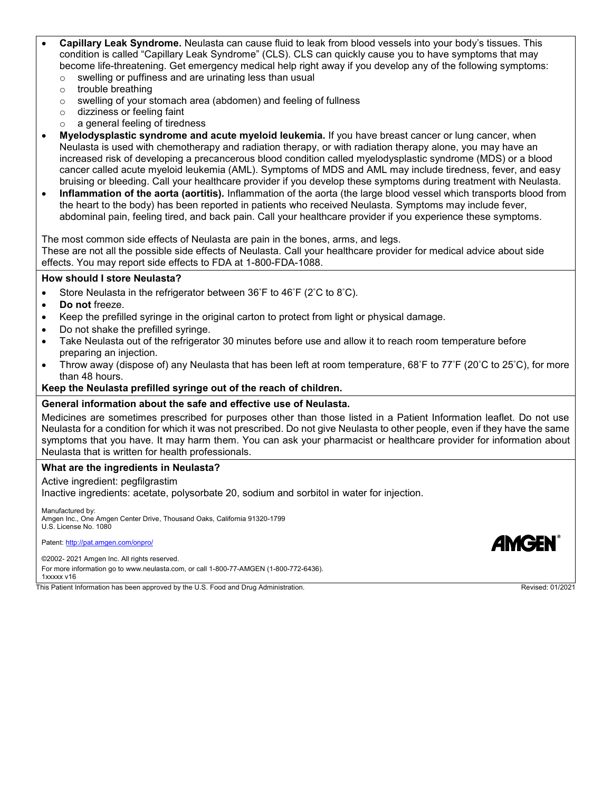- **Capillary Leak Syndrome.** Neulasta can cause fluid to leak from blood vessels into your body's tissues. This condition is called "Capillary Leak Syndrome" (CLS). CLS can quickly cause you to have symptoms that may become life-threatening. Get emergency medical help right away if you develop any of the following symptoms:
	- o swelling or puffiness and are urinating less than usual
	- o trouble breathing
	- o swelling of your stomach area (abdomen) and feeling of fullness
	- o dizziness or feeling faint
	- o a general feeling of tiredness
- **Myelodysplastic syndrome and acute myeloid leukemia.** If you have breast cancer or lung cancer, when Neulasta is used with chemotherapy and radiation therapy, or with radiation therapy alone, you may have an increased risk of developing a precancerous blood condition called myelodysplastic syndrome (MDS) or a blood cancer called acute myeloid leukemia (AML). Symptoms of MDS and AML may include tiredness, fever, and easy bruising or bleeding. Call your healthcare provider if you develop these symptoms during treatment with Neulasta.
- **Inflammation of the aorta (aortitis).** Inflammation of the aorta (the large blood vessel which transports blood from the heart to the body) has been reported in patients who received Neulasta. Symptoms may include fever, abdominal pain, feeling tired, and back pain. Call your healthcare provider if you experience these symptoms.

The most common side effects of Neulasta are pain in the bones, arms, and legs.

These are not all the possible side effects of Neulasta. Call your healthcare provider for medical advice about side effects. You may report side effects to FDA at 1-800-FDA-1088.

## **How should I store Neulasta?**

- Store Neulasta in the refrigerator between  $36^{\circ}$ F to  $46^{\circ}$ F (2 $^{\circ}$ C to  $8^{\circ}$ C).
- **Do not** freeze.
- Keep the prefilled syringe in the original carton to protect from light or physical damage.
- Do not shake the prefilled syringe.
- Take Neulasta out of the refrigerator 30 minutes before use and allow it to reach room temperature before preparing an injection.
- Throw away (dispose of) any Neulasta that has been left at room temperature, 68°F to 77°F (20°C to 25°C), for more than 48 hours.

#### **Keep the Neulasta prefilled syringe out of the reach of children.**

#### **General information about the safe and effective use of Neulasta.**

Medicines are sometimes prescribed for purposes other than those listed in a Patient Information leaflet. Do not use Neulasta for a condition for which it was not prescribed. Do not give Neulasta to other people, even if they have the same symptoms that you have. It may harm them. You can ask your pharmacist or healthcare provider for information about Neulasta that is written for health professionals.

#### **What are the ingredients in Neulasta?**

Active ingredient: pegfilgrastim

Inactive ingredients: acetate, polysorbate 20, sodium and sorbitol in water for injection.

Manufactured by: Amgen Inc., One Amgen Center Drive, Thousand Oaks, California 91320-1799 U.S. License No. 1080

Patent: <http://pat.amgen.com/onpro/>

©2002- 2021 Amgen Inc. All rights reserved.

For more information go to www.neulasta.com, or call 1-800-77-AMGEN (1-800-772-6436).

1xxxxx v16

This Patient Information has been approved by the U.S. Food and Drug Administration. This Provised: 01/2021 Revised: 01/2021

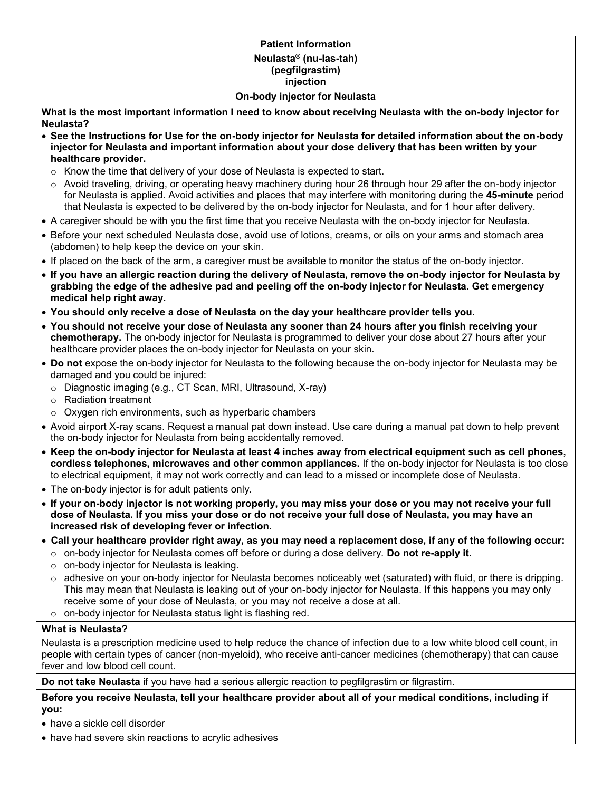## **Patient Information Neulasta® (nu-las-tah) (pegfilgrastim) injection On-body injector for Neulasta**

**What is the most important information I need to know about receiving Neulasta with the on-body injector for Neulasta?**

- **See the Instructions for Use for the on-body injector for Neulasta for detailed information about the on-body injector for Neulasta and important information about your dose delivery that has been written by your healthcare provider.**
	- o Know the time that delivery of your dose of Neulasta is expected to start.
	- $\circ$  Avoid traveling, driving, or operating heavy machinery during hour 26 through hour 29 after the on-body injector for Neulasta is applied. Avoid activities and places that may interfere with monitoring during the **45-minute** period that Neulasta is expected to be delivered by the on-body injector for Neulasta, and for 1 hour after delivery.
- A caregiver should be with you the first time that you receive Neulasta with the on-body injector for Neulasta.
- Before your next scheduled Neulasta dose, avoid use of lotions, creams, or oils on your arms and stomach area (abdomen) to help keep the device on your skin.
- If placed on the back of the arm, a caregiver must be available to monitor the status of the on-body injector.
- **If you have an allergic reaction during the delivery of Neulasta, remove the on-body injector for Neulasta by grabbing the edge of the adhesive pad and peeling off the on-body injector for Neulasta. Get emergency medical help right away.**
- **You should only receive a dose of Neulasta on the day your healthcare provider tells you.**
- **You should not receive your dose of Neulasta any sooner than 24 hours after you finish receiving your chemotherapy.** The on-body injector for Neulasta is programmed to deliver your dose about 27 hours after your healthcare provider places the on-body injector for Neulasta on your skin.
- **Do not** expose the on-body injector for Neulasta to the following because the on-body injector for Neulasta may be damaged and you could be injured:
	- o Diagnostic imaging (e.g., CT Scan, MRI, Ultrasound, X-ray)
	- o Radiation treatment
	- o Oxygen rich environments, such as hyperbaric chambers
- Avoid airport X-ray scans. Request a manual pat down instead. Use care during a manual pat down to help prevent the on-body injector for Neulasta from being accidentally removed.
- **Keep the on-body injector for Neulasta at least 4 inches away from electrical equipment such as cell phones, cordless telephones, microwaves and other common appliances.** If the on-body injector for Neulasta is too close to electrical equipment, it may not work correctly and can lead to a missed or incomplete dose of Neulasta.
- The on-body injector is for adult patients only.
- **If your on-body injector is not working properly, you may miss your dose or you may not receive your full dose of Neulasta. If you miss your dose or do not receive your full dose of Neulasta, you may have an increased risk of developing fever or infection.**
- **Call your healthcare provider right away, as you may need a replacement dose, if any of the following occur:**
	- o on-body injector for Neulasta comes off before or during a dose delivery. **Do not re-apply it.**
	- o on-body injector for Neulasta is leaking.
	- $\circ$  adhesive on your on-body injector for Neulasta becomes noticeably wet (saturated) with fluid, or there is dripping. This may mean that Neulasta is leaking out of your on-body injector for Neulasta. If this happens you may only receive some of your dose of Neulasta, or you may not receive a dose at all.
- o on-body injector for Neulasta status light is flashing red.

# **What is Neulasta?**

Neulasta is a prescription medicine used to help reduce the chance of infection due to a low white blood cell count, in people with certain types of cancer (non-myeloid), who receive anti-cancer medicines (chemotherapy) that can cause fever and low blood cell count.

**Do not take Neulasta** if you have had a serious allergic reaction to pegfilgrastim or filgrastim.

**Before you receive Neulasta, tell your healthcare provider about all of your medical conditions, including if you:**

- have a sickle cell disorder
- have had severe skin reactions to acrylic adhesives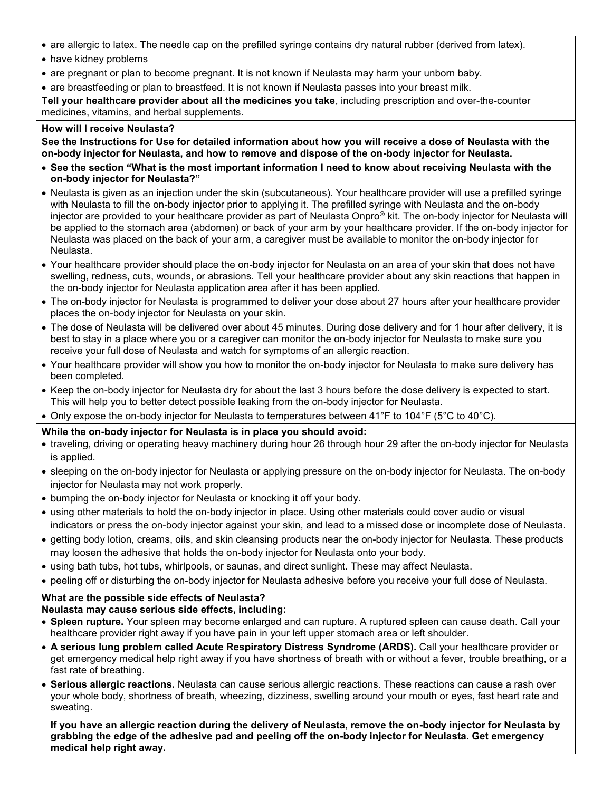- are allergic to latex. The needle cap on the prefilled syringe contains dry natural rubber (derived from latex).
- have kidney problems
- are pregnant or plan to become pregnant. It is not known if Neulasta may harm your unborn baby.
- are breastfeeding or plan to breastfeed. It is not known if Neulasta passes into your breast milk.

**Tell your healthcare provider about all the medicines you take**, including prescription and over-the-counter medicines, vitamins, and herbal supplements.

## **How will I receive Neulasta?**

**See the Instructions for Use for detailed information about how you will receive a dose of Neulasta with the on-body injector for Neulasta, and how to remove and dispose of the on-body injector for Neulasta.**

- **See the section "What is the most important information I need to know about receiving Neulasta with the on-body injector for Neulasta?"**
- Neulasta is given as an injection under the skin (subcutaneous). Your healthcare provider will use a prefilled syringe with Neulasta to fill the on-body injector prior to applying it. The prefilled syringe with Neulasta and the on-body injector are provided to your healthcare provider as part of Neulasta Onpro® kit. The on-body injector for Neulasta will be applied to the stomach area (abdomen) or back of your arm by your healthcare provider. If the on-body injector for Neulasta was placed on the back of your arm, a caregiver must be available to monitor the on-body injector for Neulasta.
- Your healthcare provider should place the on-body injector for Neulasta on an area of your skin that does not have swelling, redness, cuts, wounds, or abrasions. Tell your healthcare provider about any skin reactions that happen in the on-body injector for Neulasta application area after it has been applied.
- The on-body injector for Neulasta is programmed to deliver your dose about 27 hours after your healthcare provider places the on-body injector for Neulasta on your skin.
- The dose of Neulasta will be delivered over about 45 minutes. During dose delivery and for 1 hour after delivery, it is best to stay in a place where you or a caregiver can monitor the on-body injector for Neulasta to make sure you receive your full dose of Neulasta and watch for symptoms of an allergic reaction.
- Your healthcare provider will show you how to monitor the on-body injector for Neulasta to make sure delivery has been completed.
- Keep the on-body injector for Neulasta dry for about the last 3 hours before the dose delivery is expected to start. This will help you to better detect possible leaking from the on-body injector for Neulasta.
- Only expose the on-body injector for Neulasta to temperatures between 41°F to 104°F (5°C to 40°C).

# **While the on-body injector for Neulasta is in place you should avoid:**

- traveling, driving or operating heavy machinery during hour 26 through hour 29 after the on-body injector for Neulasta is applied.
- sleeping on the on-body injector for Neulasta or applying pressure on the on-body injector for Neulasta. The on-body injector for Neulasta may not work properly.
- bumping the on-body injector for Neulasta or knocking it off your body.
- using other materials to hold the on-body injector in place. Using other materials could cover audio or visual indicators or press the on-body injector against your skin, and lead to a missed dose or incomplete dose of Neulasta.
- getting body lotion, creams, oils, and skin cleansing products near the on-body injector for Neulasta. These products may loosen the adhesive that holds the on-body injector for Neulasta onto your body.
- using bath tubs, hot tubs, whirlpools, or saunas, and direct sunlight. These may affect Neulasta.
- peeling off or disturbing the on-body injector for Neulasta adhesive before you receive your full dose of Neulasta.

# **What are the possible side effects of Neulasta?**

# **Neulasta may cause serious side effects, including:**

- **Spleen rupture.** Your spleen may become enlarged and can rupture. A ruptured spleen can cause death. Call your healthcare provider right away if you have pain in your left upper stomach area or left shoulder.
- **A serious lung problem called Acute Respiratory Distress Syndrome (ARDS).** Call your healthcare provider or get emergency medical help right away if you have shortness of breath with or without a fever, trouble breathing, or a fast rate of breathing.
- **Serious allergic reactions.** Neulasta can cause serious allergic reactions. These reactions can cause a rash over your whole body, shortness of breath, wheezing, dizziness, swelling around your mouth or eyes, fast heart rate and sweating.

**If you have an allergic reaction during the delivery of Neulasta, remove the on-body injector for Neulasta by grabbing the edge of the adhesive pad and peeling off the on-body injector for Neulasta. Get emergency medical help right away.**